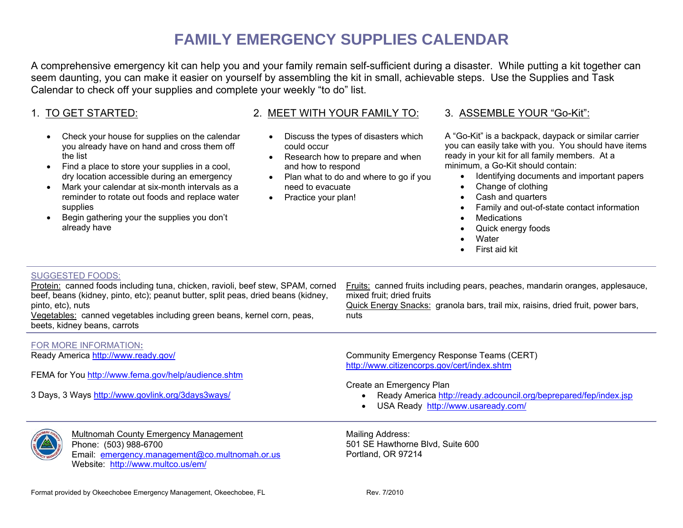# **FAMILY EMERGENCY SUPPLIES CALENDAR**

A comprehensive emergency kit can help you and your family remain self-sufficient during a disaster. While putting a kit together can seem daunting, you can make it easier on yourself by assembling the kit in small, achievable steps. Use the Supplies and Task Calendar to check off your supplies and complete your weekly "to do" list.

## 1. TO GET STARTED:

- Check your house for supplies on the calendar you already have on hand and cross them off the list
- Find a place to store your supplies in a cool, dry location accessible during an emergency
- Mark your calendar at six-month intervals as a reminder to rotate out foods and replace water supplies
- Begin gathering your the supplies you don't already have

### 2. MEET WITH YOUR FAMILY TO:

- Discuss the types of disasters which could occur
- Research how to prepare and when and how to respond
- Plan what to do and where to go if you need to evacuate
- Practice your plan!

#### 3. ASSEMBLE YOUR "Go-Kit":

A "Go-Kit" is a backpack, daypack or similar carrier you can easily take with you. You should have items ready in your kit for all family members. At a minimum, a Go-Kit should contain:

- Identifying documents and important papers
- Change of clothing
- Cash and quarters
- Family and out-of-state contact information
- **Medications**
- Quick energy foods
- **Water**
- First aid kit

#### SUGGESTED FOODS:

| Protein: canned foods including tuna, chicken, ravioli, beef stew, SPAM, corned<br>beef, beans (kidney, pinto, etc); peanut butter, split peas, dried beans (kidney,<br>pinto, etc), nuts<br>Vegetables: canned vegetables including green beans, kernel corn, peas,<br>beets, kidney beans, carrots | Fruits: canned fruits including pears, peaches, mandarin oranges, applesauce,<br>mixed fruit; dried fruits<br>Quick Energy Snacks: granola bars, trail mix, raisins, dried fruit, power bars,<br>nuts |
|------------------------------------------------------------------------------------------------------------------------------------------------------------------------------------------------------------------------------------------------------------------------------------------------------|-------------------------------------------------------------------------------------------------------------------------------------------------------------------------------------------------------|
| FOR MORE INFORMATION:                                                                                                                                                                                                                                                                                |                                                                                                                                                                                                       |
| Ready America http://www.ready.gov/                                                                                                                                                                                                                                                                  | Community Emergency Response Teams (CERT)                                                                                                                                                             |
|                                                                                                                                                                                                                                                                                                      | http://www.citizencorps.gov/cert/index.shtm                                                                                                                                                           |
| FEMA for You http://www.fema.gov/help/audience.shtm                                                                                                                                                                                                                                                  |                                                                                                                                                                                                       |
|                                                                                                                                                                                                                                                                                                      | Create an Emergency Plan                                                                                                                                                                              |
| 3 Days, 3 Ways http://www.govlink.org/3days3ways/                                                                                                                                                                                                                                                    | Ready America http://ready.adcouncil.org/beprepared/fep/index.jsp                                                                                                                                     |
|                                                                                                                                                                                                                                                                                                      | USA Ready http://www.usaready.com/                                                                                                                                                                    |
| Multnomah County Emergency Management                                                                                                                                                                                                                                                                | Mailing Address:                                                                                                                                                                                      |
| <b>ET AA</b><br>Dhona: (503) 088 6700.                                                                                                                                                                                                                                                               | 501 SE Hawthorne Rivd Suite 600                                                                                                                                                                       |

 Phone: (503) 988-6700 Email: [emergency.management@co.multnomah.or.us](mailto:emergency.management@co.multnomah.or.us) Website: <http://www.multco.us/em/>

501 SE Hawthorne Blvd, Suite 600 Portland, OR 97214